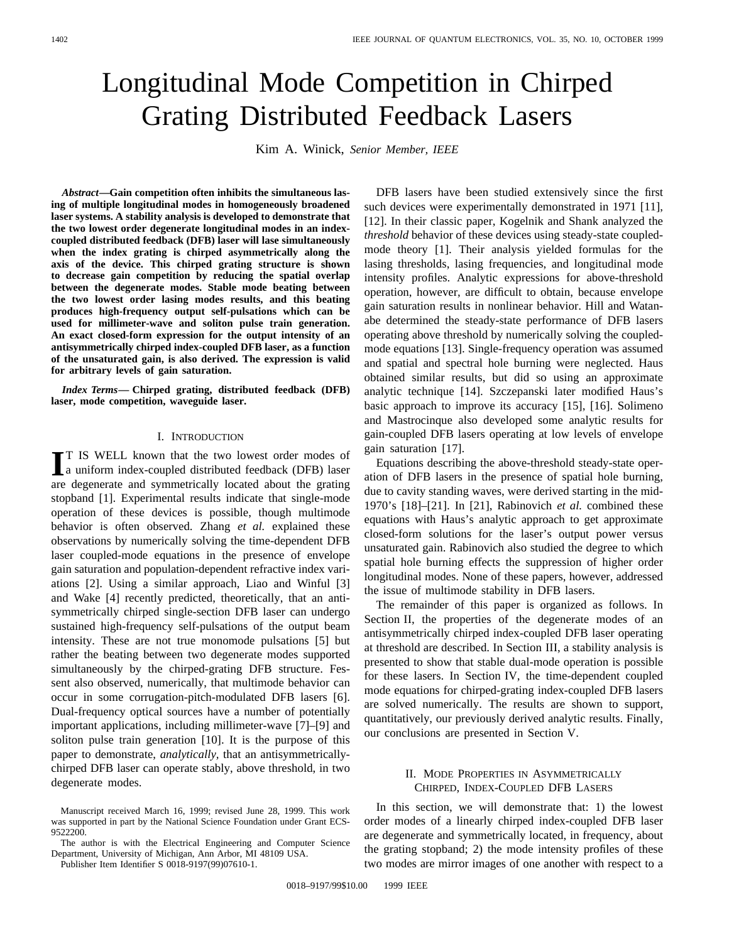# Longitudinal Mode Competition in Chirped Grating Distributed Feedback Lasers

Kim A. Winick, *Senior Member, IEEE*

*Abstract—***Gain competition often inhibits the simultaneous lasing of multiple longitudinal modes in homogeneously broadened laser systems. A stability analysis is developed to demonstrate that the two lowest order degenerate longitudinal modes in an indexcoupled distributed feedback (DFB) laser will lase simultaneously when the index grating is chirped asymmetrically along the axis of the device. This chirped grating structure is shown to decrease gain competition by reducing the spatial overlap between the degenerate modes. Stable mode beating between the two lowest order lasing modes results, and this beating produces high-frequency output self-pulsations which can be used for millimeter-wave and soliton pulse train generation. An exact closed-form expression for the output intensity of an antisymmetrically chirped index-coupled DFB laser, as a function of the unsaturated gain, is also derived. The expression is valid for arbitrary levels of gain saturation.**

*Index Terms—* **Chirped grating, distributed feedback (DFB) laser, mode competition, waveguide laser.**

## I. INTRODUCTION

**I**T IS WELL known that the two lowest order modes of a uniform index-coupled distributed feedback (DFB) laser a uniform index-coupled distributed feedback (DFB) laser are degenerate and symmetrically located about the grating stopband [1]. Experimental results indicate that single-mode operation of these devices is possible, though multimode behavior is often observed. Zhang *et al.* explained these observations by numerically solving the time-dependent DFB laser coupled-mode equations in the presence of envelope gain saturation and population-dependent refractive index variations [2]. Using a similar approach, Liao and Winful [3] and Wake [4] recently predicted, theoretically, that an antisymmetrically chirped single-section DFB laser can undergo sustained high-frequency self-pulsations of the output beam intensity. These are not true monomode pulsations [5] but rather the beating between two degenerate modes supported simultaneously by the chirped-grating DFB structure. Fessent also observed, numerically, that multimode behavior can occur in some corrugation-pitch-modulated DFB lasers [6]. Dual-frequency optical sources have a number of potentially important applications, including millimeter-wave [7]–[9] and soliton pulse train generation [10]. It is the purpose of this paper to demonstrate, *analytically,* that an antisymmetricallychirped DFB laser can operate stably, above threshold, in two degenerate modes.

The author is with the Electrical Engineering and Computer Science Department, University of Michigan, Ann Arbor, MI 48109 USA.

Publisher Item Identifier S 0018-9197(99)07610-1.

DFB lasers have been studied extensively since the first such devices were experimentally demonstrated in 1971 [11], [12]. In their classic paper, Kogelnik and Shank analyzed the *threshold* behavior of these devices using steady-state coupledmode theory [1]. Their analysis yielded formulas for the lasing thresholds, lasing frequencies, and longitudinal mode intensity profiles. Analytic expressions for above-threshold operation, however, are difficult to obtain, because envelope gain saturation results in nonlinear behavior. Hill and Watanabe determined the steady-state performance of DFB lasers operating above threshold by numerically solving the coupledmode equations [13]. Single-frequency operation was assumed and spatial and spectral hole burning were neglected. Haus obtained similar results, but did so using an approximate analytic technique [14]. Szczepanski later modified Haus's basic approach to improve its accuracy [15], [16]. Solimeno and Mastrocinque also developed some analytic results for gain-coupled DFB lasers operating at low levels of envelope gain saturation [17].

Equations describing the above-threshold steady-state operation of DFB lasers in the presence of spatial hole burning, due to cavity standing waves, were derived starting in the mid-1970's [18]–[21]. In [21], Rabinovich *et al.* combined these equations with Haus's analytic approach to get approximate closed-form solutions for the laser's output power versus unsaturated gain. Rabinovich also studied the degree to which spatial hole burning effects the suppression of higher order longitudinal modes. None of these papers, however, addressed the issue of multimode stability in DFB lasers.

The remainder of this paper is organized as follows. In Section II, the properties of the degenerate modes of an antisymmetrically chirped index-coupled DFB laser operating at threshold are described. In Section III, a stability analysis is presented to show that stable dual-mode operation is possible for these lasers. In Section IV, the time-dependent coupled mode equations for chirped-grating index-coupled DFB lasers are solved numerically. The results are shown to support, quantitatively, our previously derived analytic results. Finally, our conclusions are presented in Section V.

# II. MODE PROPERTIES IN ASYMMETRICALLY CHIRPED, INDEX-COUPLED DFB LASERS

In this section, we will demonstrate that: 1) the lowest order modes of a linearly chirped index-coupled DFB laser are degenerate and symmetrically located, in frequency, about the grating stopband; 2) the mode intensity profiles of these two modes are mirror images of one another with respect to a

Manuscript received March 16, 1999; revised June 28, 1999. This work was supported in part by the National Science Foundation under Grant ECS-9522200.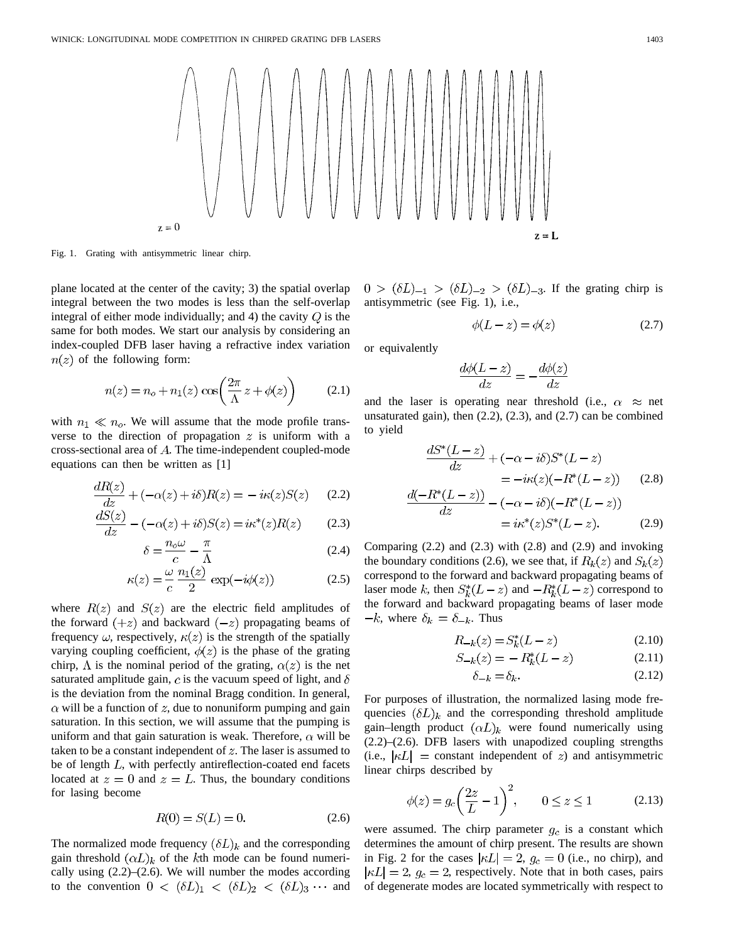

Fig. 1. Grating with antisymmetric linear chirp.

plane located at the center of the cavity; 3) the spatial overlap integral between the two modes is less than the self-overlap integral of either mode individually; and 4) the cavity  $Q$  is the same for both modes. We start our analysis by considering an index-coupled DFB laser having a refractive index variation  $n(z)$  of the following form:

$$
n(z) = n_o + n_1(z) \cos\left(\frac{2\pi}{\Lambda} z + \phi(z)\right) \tag{2.1}
$$

with  $n_1 \ll n_o$ . We will assume that the mode profile transverse to the direction of propagation  $z$  is uniform with a cross-sectional area of  $A$ . The time-independent coupled-mode equations can then be written as [1]

$$
\frac{dR(z)}{dz} + (-\alpha(z) + i\delta)R(z) = -i\kappa(z)S(z) \qquad (2.2)
$$

$$
\frac{dS(z)}{dz} - (-\alpha(z) + i\delta)S(z) = i\kappa^*(z)R(z)
$$
 (2.3)

$$
\delta = \frac{n_o \omega}{c} - \frac{\pi}{\Lambda} \tag{2.4}
$$

$$
\kappa(z) = \frac{\omega}{c} \frac{n_1(z)}{2} \exp(-i\phi(z))
$$
 (2.5)

where  $R(z)$  and  $S(z)$  are the electric field amplitudes of the forward  $(+z)$  and backward  $(-z)$  propagating beams of frequency  $\omega$ , respectively,  $\kappa(z)$  is the strength of the spatially varying coupling coefficient,  $\phi(z)$  is the phase of the grating chirp,  $\Lambda$  is the nominal period of the grating,  $\alpha(z)$  is the net saturated amplitude gain, c is the vacuum speed of light, and  $\delta$ is the deviation from the nominal Bragg condition. In general,  $\alpha$  will be a function of z, due to nonuniform pumping and gain saturation. In this section, we will assume that the pumping is uniform and that gain saturation is weak. Therefore,  $\alpha$  will be taken to be a constant independent of  $z$ . The laser is assumed to be of length  $L$ , with perfectly antireflection-coated end facets located at  $z = 0$  and  $z = L$ . Thus, the boundary conditions for lasing become

$$
R(0) = S(L) = 0.
$$
 (2.6)

The normalized mode frequency  $(\delta L)_k$  and the corresponding gain threshold  $(\alpha L)_k$  of the kth mode can be found numerically using  $(2.2)$ – $(2.6)$ . We will number the modes according to the convention  $0 < (\delta L)_1 < (\delta L)_2 < (\delta L)_3 \cdots$  and  $0 > (\delta L)_{-1} > (\delta L)_{-2} > (\delta L)_{-3}$ . If the grating chirp is antisymmetric (see Fig. 1), i.e.,

$$
\phi(L - z) = \phi(z) \tag{2.7}
$$

or equivalently

$$
\frac{d\phi(L-z)}{dz} = -\frac{d\phi(z)}{dz}
$$

and the laser is operating near threshold (i.e.,  $\alpha \approx$  net unsaturated gain), then  $(2.2)$ ,  $(2.3)$ , and  $(2.7)$  can be combined to yield

$$
\frac{dS^*(L-z)}{dz} + (-\alpha - i\delta)S^*(L-z)
$$
  
=  $-i\kappa(z)(-R^*(L-z))$  (2.8)

$$
\frac{d(-R^*(L-z))}{dz} - (-\alpha - i\delta)(-R^*(L-z))
$$
  
=  $i\kappa^*(z)S^*(L-z)$ . (2.9)

Comparing  $(2.2)$  and  $(2.3)$  with  $(2.8)$  and  $(2.9)$  and invoking the boundary conditions (2.6), we see that, if  $R_k(z)$  and  $S_k(z)$ correspond to the forward and backward propagating beams of laser mode k, then  $S_k^*(L-z)$  and  $-R_k^*(L-z)$  correspond to the forward and backward propagating beams of laser mode  $-k$ , where  $\delta_k = \delta_{-k}$ . Thus

$$
R_{-k}(z) = S_k^*(L - z)
$$
 (2.10)

$$
S_{-k}(z) = -R_k^*(L - z)
$$
 (2.11)

$$
\delta_{-k} = \delta_k. \tag{2.12}
$$

For purposes of illustration, the normalized lasing mode frequencies  $(\delta L)_k$  and the corresponding threshold amplitude gain–length product  $(\alpha L)_k$  were found numerically using (2.2)–(2.6). DFB lasers with unapodized coupling strengths (i.e.,  $|\kappa L|$  = constant independent of z) and antisymmetric linear chirps described by

$$
\phi(z) = g_c \left(\frac{2z}{L} - 1\right)^2, \qquad 0 \le z \le 1
$$
\n(2.13)

were assumed. The chirp parameter  $g_c$  is a constant which determines the amount of chirp present. The results are shown in Fig. 2 for the cases  $|\kappa L| = 2$ ,  $g_c = 0$  (i.e., no chirp), and  $|\kappa L| = 2$ ,  $g_c = 2$ , respectively. Note that in both cases, pairs of degenerate modes are located symmetrically with respect to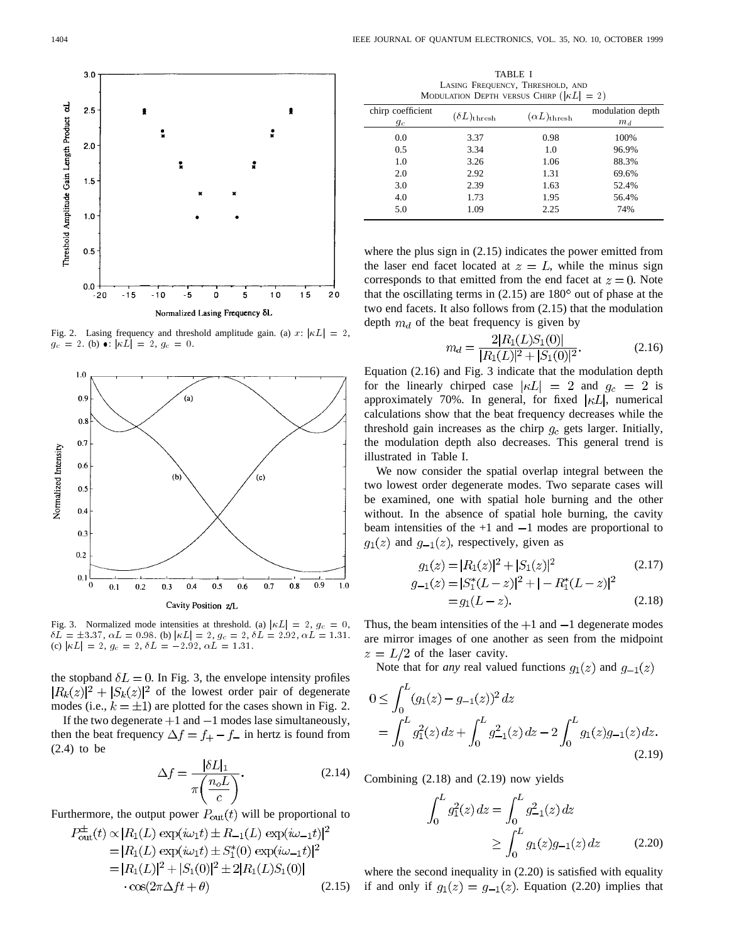

Fig. 2. Lasing frequency and threshold amplitude gain. (a) x:  $|\kappa L| = 2$ ,  $g_c = 2.$  (b)  $\bullet$ :  $|\kappa L| = 2$ ,  $g_c = 0$ .



Fig. 3. Normalized mode intensities at threshold. (a)  $|\kappa L| = 2$ ,  $g_c = 0$ ,  $\delta L = \pm 3.37, \ \alpha L = 0.98.$  (b)  $|\kappa L| = 2, \ g_c = 2, \ \delta L = 2.92, \ \alpha L = 1.31.$ (c)  $|\kappa L| = 2$ ,  $g_c = 2$ ,  $\delta L = -2.92$ ,  $\alpha L = 1.31$ .

the stopband  $\delta L = 0$ . In Fig. 3, the envelope intensity profiles  $|R_k(z)|^2 + |S_k(z)|^2$  of the lowest order pair of degenerate modes (i.e.,  $k = \pm 1$ ) are plotted for the cases shown in Fig. 2.

If the two degenerate  $+1$  and  $-1$  modes lase simultaneously, then the beat frequency  $\Delta f = f_+ - f_-$  in hertz is found from (2.4) to be

$$
\Delta f = \frac{|\delta L|_1}{\pi \left(\frac{n_o L}{c}\right)}.\tag{2.14}
$$

Furthermore, the output power  $P_{out}(t)$  will be proportional to

$$
P_{\text{out}}^{\pm}(t) \propto |R_1(L) \exp(i\omega_1 t) \pm R_{-1}(L) \exp(i\omega_{-1} t)|^2
$$
  
=  $|R_1(L) \exp(i\omega_1 t) \pm S_1^*(0) \exp(i\omega_{-1} t)|^2$   
=  $|R_1(L)|^2 + |S_1(0)|^2 \pm 2|R_1(L)S_1(0)|$   
 $\cdot \cos(2\pi \Delta ft + \theta)$  (2.15)

TABLE I LASING FREQUENCY, THRESHOLD, AND MODULATION DEPTH VERSUS CHIRP  $(|\kappa L| = 2)$ 

| chirp coefficient<br>$g_c$ | $(\delta L)_{\rm thresh}$ | $(\alpha L)_{\rm thresh}$ | modulation depth<br>$m_d$ |
|----------------------------|---------------------------|---------------------------|---------------------------|
| 0.0                        | 3.37                      | 0.98                      | 100%                      |
| 0.5                        | 3.34                      | 1.0                       | 96.9%                     |
| 1.0                        | 3.26                      | 1.06                      | 88.3%                     |
| 2.0                        | 2.92                      | 1.31                      | 69.6%                     |
| 3.0                        | 2.39                      | 1.63                      | 52.4%                     |
| 4.0                        | 1.73                      | 1.95                      | 56.4%                     |
| 5.0                        | 1.09                      | 2.25                      | 74%                       |

where the plus sign in  $(2.15)$  indicates the power emitted from the laser end facet located at  $z = L$ , while the minus sign corresponds to that emitted from the end facet at  $z = 0$ . Note that the oscillating terms in  $(2.15)$  are  $180^{\circ}$  out of phase at the two end facets. It also follows from (2.15) that the modulation depth  $m_d$  of the beat frequency is given by

$$
m_d = \frac{2|R_1(L)S_1(0)|}{|R_1(L)|^2 + |S_1(0)|^2}.
$$
\n(2.16)

Equation (2.16) and Fig. 3 indicate that the modulation depth for the linearly chirped case  $|\kappa L| = 2$  and  $g_c = 2$  is approximately 70%. In general, for fixed  $|\kappa L|$ , numerical calculations show that the beat frequency decreases while the threshold gain increases as the chirp  $g_c$  gets larger. Initially, the modulation depth also decreases. This general trend is illustrated in Table I.

We now consider the spatial overlap integral between the two lowest order degenerate modes. Two separate cases will be examined, one with spatial hole burning and the other without. In the absence of spatial hole burning, the cavity beam intensities of the  $+1$  and  $-1$  modes are proportional to  $g_1(z)$  and  $g_{-1}(z)$ , respectively, given as

$$
g_1(z) = |R_1(z)|^2 + |S_1(z)|^2
$$
\n
$$
g_{-1}(z) = |S_1^*(L - z)|^2 + |-R_1^*(L - z)|^2
$$
\n
$$
= g_1(L - z).
$$
\n(2.18)

Thus, the beam intensities of the  $+1$  and  $-1$  degenerate modes are mirror images of one another as seen from the midpoint  $z = L/2$  of the laser cavity.

Note that for *any* real valued functions  $g_1(z)$  and  $g_{-1}(z)$ 

$$
0 \le \int_0^L (g_1(z) - g_{-1}(z))^2 dz
$$
  
= 
$$
\int_0^L g_1^2(z) dz + \int_0^L g_{-1}^2(z) dz - 2 \int_0^L g_1(z) g_{-1}(z) dz.
$$
 (2.19)

Combining (2.18) and (2.19) now yields

$$
\int_0^L g_1^2(z) dz = \int_0^L g_{-1}^2(z) dz
$$
  
 
$$
\geq \int_0^L g_1(z) g_{-1}(z) dz \qquad (2.20)
$$

where the second inequality in (2.20) is satisfied with equality if and only if  $g_1(z) = g_{-1}(z)$ . Equation (2.20) implies that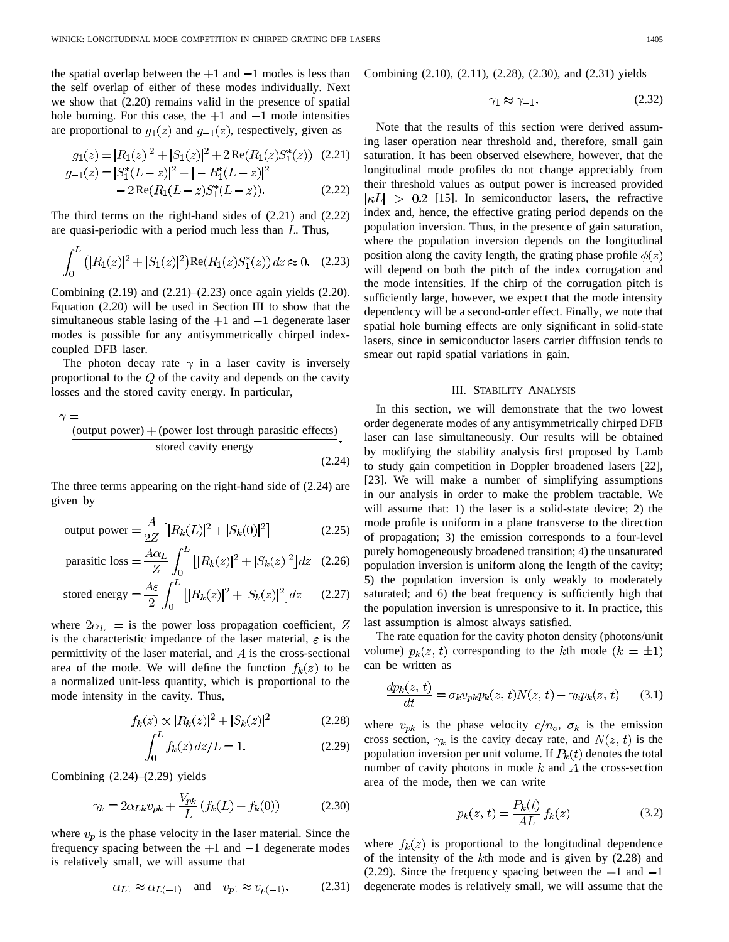the spatial overlap between the  $+1$  and  $-1$  modes is less than the self overlap of either of these modes individually. Next we show that (2.20) remains valid in the presence of spatial hole burning. For this case, the  $+1$  and  $-1$  mode intensities are proportional to  $g_1(z)$  and  $g_{-1}(z)$ , respectively, given as

$$
g_1(z) = |R_1(z)|^2 + |S_1(z)|^2 + 2\operatorname{Re}(R_1(z)S_1^*(z)) \quad (2.21)
$$
  

$$
g_{-1}(z) = |S_1^*(L - z)|^2 + |-R_1^*(L - z)|^2
$$

$$
-2\operatorname{Re}(R_1(L-z)S_1^*(L-z)).\tag{2.22}
$$

The third terms on the right-hand sides of (2.21) and (2.22) are quasi-periodic with a period much less than  $L$ . Thus,

$$
\int_0^L (|R_1(z)|^2 + |S_1(z)|^2) \text{Re}(R_1(z)S_1^*(z)) dz \approx 0. \quad (2.23)
$$

Combining (2.19) and (2.21)–(2.23) once again yields (2.20). Equation (2.20) will be used in Section III to show that the simultaneous stable lasing of the  $+1$  and  $-1$  degenerate laser modes is possible for any antisymmetrically chirped indexcoupled DFB laser.

The photon decay rate  $\gamma$  in a laser cavity is inversely proportional to the  $Q$  of the cavity and depends on the cavity losses and the stored cavity energy. In particular,

$$
\gamma =
$$
\n~~(output power)~~ + (power lost through parasitic effects)  
\nstored cavity energy (2.24)

The three terms appearing on the right-hand side of (2.24) are given by

output power = 
$$
\frac{A}{2Z} \left[ |R_k(L)|^2 + |S_k(0)|^2 \right]
$$
 (2.25)

$$
\text{parasitic loss} = \frac{A\alpha_L}{Z} \int_0^L \left[ |R_k(z)|^2 + |S_k(z)|^2 \right] dz \quad (2.26)
$$

stored energy 
$$
=\frac{A\varepsilon}{2} \int_0^L [|R_k(z)|^2 + |S_k(z)|^2] dz
$$
 (2.27)

where  $2\alpha_L$  = is the power loss propagation coefficient, Z is the characteristic impedance of the laser material,  $\varepsilon$  is the permittivity of the laser material, and  $A$  is the cross-sectional area of the mode. We will define the function  $f_k(z)$  to be a normalized unit-less quantity, which is proportional to the mode intensity in the cavity. Thus,

$$
f_k(z) \propto |R_k(z)|^2 + |S_k(z)|^2 \tag{2.28}
$$

$$
\int_0 f_k(z) \, dz / L = 1. \tag{2.29}
$$

Combining  $(2.24)$ – $(2.29)$  yields

$$
\gamma_k = 2\alpha_{Lk} v_{pk} + \frac{V_{pk}}{L} (f_k(L) + f_k(0))
$$
 (2.30)

where  $v_p$  is the phase velocity in the laser material. Since the frequency spacing between the  $+1$  and  $-1$  degenerate modes is relatively small, we will assume that

$$
\alpha_{L1} \approx \alpha_{L(-1)} \quad \text{and} \quad v_{p1} \approx v_{p(-1)}.\tag{2.31}
$$

Combining (2.10), (2.11), (2.28), (2.30), and (2.31) yields

$$
\gamma_1 \approx \gamma_{-1}.\tag{2.32}
$$

Note that the results of this section were derived assuming laser operation near threshold and, therefore, small gain saturation. It has been observed elsewhere, however, that the longitudinal mode profiles do not change appreciably from their threshold values as output power is increased provided  $|\kappa L| > 0.2$  [15]. In semiconductor lasers, the refractive index and, hence, the effective grating period depends on the population inversion. Thus, in the presence of gain saturation, where the population inversion depends on the longitudinal position along the cavity length, the grating phase profile  $\phi(z)$ will depend on both the pitch of the index corrugation and the mode intensities. If the chirp of the corrugation pitch is sufficiently large, however, we expect that the mode intensity dependency will be a second-order effect. Finally, we note that spatial hole burning effects are only significant in solid-state lasers, since in semiconductor lasers carrier diffusion tends to smear out rapid spatial variations in gain.

#### III. STABILITY ANALYSIS

In this section, we will demonstrate that the two lowest order degenerate modes of any antisymmetrically chirped DFB laser can lase simultaneously. Our results will be obtained by modifying the stability analysis first proposed by Lamb to study gain competition in Doppler broadened lasers [22], [23]. We will make a number of simplifying assumptions in our analysis in order to make the problem tractable. We will assume that: 1) the laser is a solid-state device; 2) the mode profile is uniform in a plane transverse to the direction of propagation; 3) the emission corresponds to a four-level purely homogeneously broadened transition; 4) the unsaturated population inversion is uniform along the length of the cavity; 5) the population inversion is only weakly to moderately saturated; and 6) the beat frequency is sufficiently high that the population inversion is unresponsive to it. In practice, this last assumption is almost always satisfied.

The rate equation for the cavity photon density (photons/unit volume)  $p_k(z, t)$  corresponding to the kth mode  $(k = \pm 1)$ can be written as

$$
\frac{dp_k(z,t)}{dt} = \sigma_k v_{pk} p_k(z,t) N(z,t) - \gamma_k p_k(z,t) \qquad (3.1)
$$

where  $v_{pk}$  is the phase velocity  $c/n_o$ ,  $\sigma_k$  is the emission cross section,  $\gamma_k$  is the cavity decay rate, and  $N(z, t)$  is the population inversion per unit volume. If  $P_k(t)$  denotes the total number of cavity photons in mode  $k$  and  $A$  the cross-section area of the mode, then we can write

$$
p_k(z, t) = \frac{P_k(t)}{AL} f_k(z)
$$
\n(3.2)

where  $f_k(z)$  is proportional to the longitudinal dependence of the intensity of the  $k$ th mode and is given by  $(2.28)$  and (2.29). Since the frequency spacing between the  $+1$  and  $-1$ degenerate modes is relatively small, we will assume that the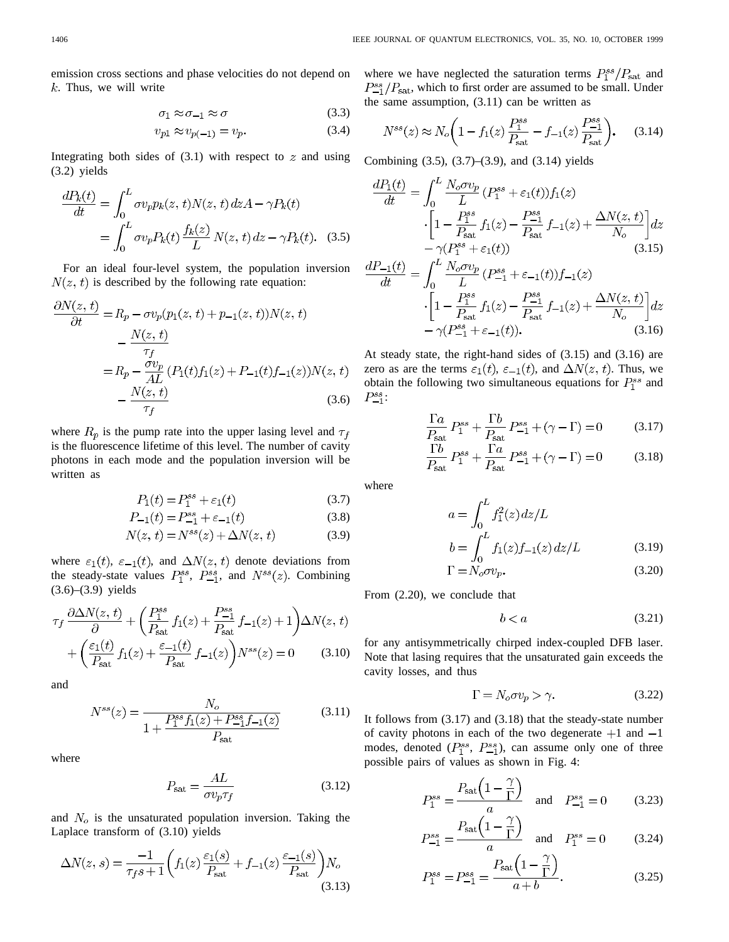emission cross sections and phase velocities do not depend on  $k$ . Thus, we will write

$$
\sigma_1 \approx \sigma_{-1} \approx \sigma \tag{3.3}
$$

$$
v_{p1} \approx v_{p(-1)} = v_p. \tag{3.4}
$$

Integrating both sides of  $(3.1)$  with respect to z and using (3.2) yields

$$
\frac{dP_k(t)}{dt} = \int_0^L \sigma v_p p_k(z, t) N(z, t) dz A - \gamma P_k(t)
$$

$$
= \int_0^L \sigma v_p P_k(t) \frac{f_k(z)}{L} N(z, t) dz - \gamma P_k(t). \quad (3.5)
$$

For an ideal four-level system, the population inversion  $N(z, t)$  is described by the following rate equation:

$$
\frac{\partial N(z,t)}{\partial t} = R_p - \sigma v_p(p_1(z,t) + p_{-1}(z,t))N(z,t) \n- \frac{N(z,t)}{\tau_f} \n= R_p - \frac{\sigma v_p}{AL} (P_1(t)f_1(z) + P_{-1}(t)f_{-1}(z))N(z,t) \n- \frac{N(z,t)}{\tau_f}
$$
\n(3.6)

where  $R_p$  is the pump rate into the upper lasing level and  $\tau_f$ is the fluorescence lifetime of this level. The number of cavity photons in each mode and the population inversion will be written as

$$
P_1(t) = P_1^{ss} + \varepsilon_1(t) \tag{3.7}
$$

$$
P_{-1}(t) = P_{-1}^{ss} + \varepsilon_{-1}(t) \tag{3.8}
$$

$$
N(z, t) = N^{ss}(z) + \Delta N(z, t)
$$
\n(3.9)

where  $\varepsilon_1(t)$ ,  $\varepsilon_{-1}(t)$ , and  $\Delta N(z, t)$  denote deviations from the steady-state values  $P_1^{ss}$ ,  $P_{-1}^{ss}$ , and  $N^{ss}(z)$ . Combining  $(3.6)$ – $(3.9)$  yields

$$
\tau_f \frac{\partial \Delta N(z,t)}{\partial} + \left(\frac{P_{\text{1}}^{ss}}{P_{\text{sat}}} f_1(z) + \frac{P_{\text{1}}^{ss}}{P_{\text{sat}}} f_{-1}(z) + 1\right) \Delta N(z,t)
$$

$$
+ \left(\frac{\varepsilon_1(t)}{P_{\text{sat}}} f_1(z) + \frac{\varepsilon_{-1}(t)}{P_{\text{sat}}} f_{-1}(z)\right) N^{ss}(z) = 0 \tag{3.10}
$$

and

$$
N^{ss}(z) = \frac{N_o}{1 + \frac{P_1^{ss} f_1(z) + P_{-1}^{ss} f_{-1}(z)}{P_{\text{sat}}}}
$$
(3.11)

where

$$
P_{\text{sat}} = \frac{AL}{\sigma v_p \tau_f} \tag{3.12}
$$

and  $N<sub>o</sub>$  is the unsaturated population inversion. Taking the Laplace transform of (3.10) yields

$$
\Delta N(z,s) = \frac{-1}{\tau_f s + 1} \bigg( f_1(z) \frac{\varepsilon_1(s)}{P_{\text{sat}}} + f_{-1}(z) \frac{\varepsilon_{-1}(s)}{P_{\text{sat}}} \bigg) N_o \tag{3.13}
$$

where we have neglected the saturation terms  $P_1^{ss}/P_{\text{sat}}$  and  $P_{-1}^{ss}/P_{\text{sat}}$ , which to first order are assumed to be small. Under the same assumption, (3.11) can be written as

$$
N^{ss}(z) \approx N_o \bigg( 1 - f_1(z) \frac{P_1^{ss}}{P_{\text{sat}}} - f_{-1}(z) \frac{P_{-1}^{ss}}{P_{\text{sat}}} \bigg). \tag{3.14}
$$

Combining (3.5), (3.7)–(3.9), and (3.14) yields

$$
\frac{dP_1(t)}{dt} = \int_0^L \frac{N_o \sigma v_p}{L} (P_1^{ss} + \varepsilon_1(t)) f_1(z)
$$

$$
\cdot \left[ 1 - \frac{P_1^{ss}}{P_{sat}} f_1(z) - \frac{P_{-1}^{ss}}{P_{sat}} f_{-1}(z) + \frac{\Delta N(z, t)}{N_o} \right] dz
$$

$$
- \gamma (P_1^{ss} + \varepsilon_1(t)) \tag{3.15}
$$

$$
\frac{dP_{-1}(t)}{dt} = \int_0^L \frac{N_o \sigma v_p}{L} (P_{-1}^{ss} + \varepsilon_{-1}(t)) f_{-1}(z)
$$

$$
\cdot \left[ 1 - \frac{P_1^{ss}}{P_{\text{sat}}} f_1(z) - \frac{P_{-1}^{ss}}{P_{\text{sat}}} f_{-1}(z) + \frac{\Delta N(z, t)}{N_o} \right] dz
$$

$$
- \gamma (P_{-1}^{ss} + \varepsilon_{-1}(t)). \tag{3.16}
$$

At steady state, the right-hand sides of (3.15) and (3.16) are zero as are the terms  $\varepsilon_1(t)$ ,  $\varepsilon_{-1}(t)$ , and  $\Delta N(z, t)$ . Thus, we obtain the following two simultaneous equations for  $P_1^{ss}$  and  $P_{-1}^{ss}$ :

$$
\frac{\Gamma a}{P_{\text{sat}}} P_1^{ss} + \frac{\Gamma b}{P_{\text{sat}}} P_{-1}^{ss} + (\gamma - \Gamma) = 0 \tag{3.17}
$$

$$
\frac{\Gamma b}{P_{\text{sat}}} P_1^{ss} + \frac{\Gamma a}{P_{\text{sat}}} P_{-1}^{ss} + (\gamma - \Gamma) = 0 \tag{3.18}
$$

where

$$
a = \int_0^L f_1^2(z) dz/L
$$
  
\n
$$
b = \int_0^L f_1(z) f_{-1}(z) dz/L
$$
 (3.19)  
\n
$$
\Gamma = N_o \sigma v_p.
$$
 (3.20)

From (2.20), we conclude that

$$
b < a \tag{3.21}
$$

for any antisymmetrically chirped index-coupled DFB laser. Note that lasing requires that the unsaturated gain exceeds the cavity losses, and thus

$$
\Gamma = N_o \sigma v_p > \gamma. \tag{3.22}
$$

It follows from (3.17) and (3.18) that the steady-state number of cavity photons in each of the two degenerate  $+1$  and  $-1$ modes, denoted  $(P_1^{ss}, P_{-1}^{ss})$ , can assume only one of three possible pairs of values as shown in Fig. 4:

$$
P_1^{ss} = \frac{P_{\text{sat}}\left(1 - \frac{\gamma}{\Gamma}\right)}{a} \quad \text{and} \quad P_{-1}^{ss} = 0 \tag{3.23}
$$

$$
P_{-1}^{ss} = \frac{P_{\rm sat} \left(1 - \frac{7}{\Gamma}\right)}{a} \quad \text{and} \quad P_1^{ss} = 0 \tag{3.24}
$$

$$
P_1^{ss} = P_{-1}^{ss} = \frac{P_{\rm sat} \left(1 - \frac{7}{\Gamma}\right)}{a + b}.
$$
 (3.25)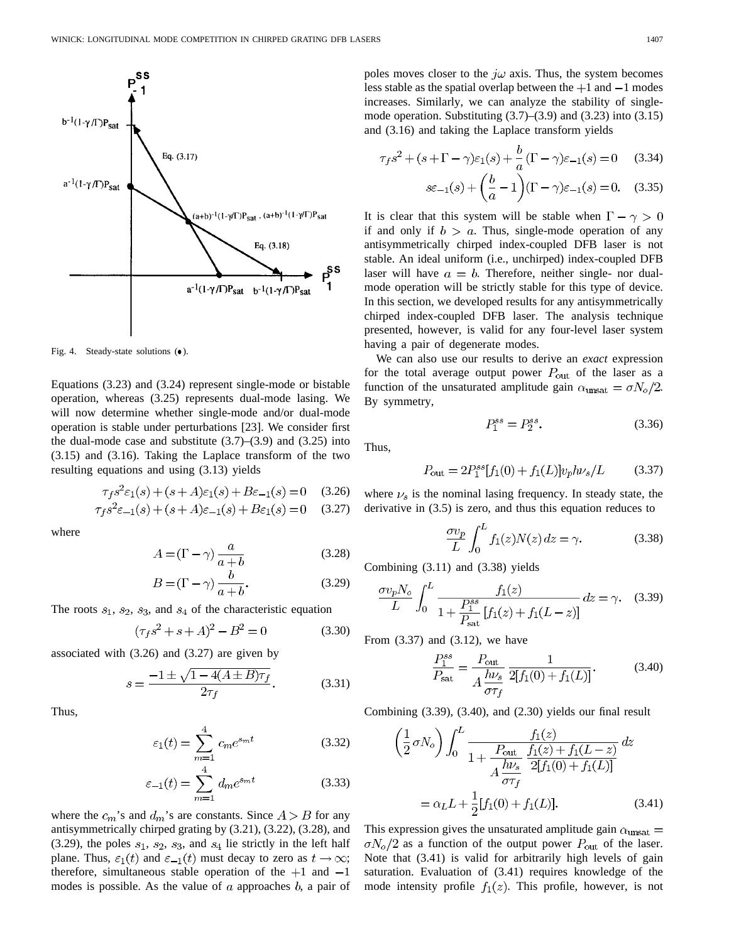

Fig. 4. Steady-state solutions  $(•)$ .

Equations (3.23) and (3.24) represent single-mode or bistable operation, whereas (3.25) represents dual-mode lasing. We will now determine whether single-mode and/or dual-mode operation is stable under perturbations [23]. We consider first the dual-mode case and substitute  $(3.7)$ – $(3.9)$  and  $(3.25)$  into (3.15) and (3.16). Taking the Laplace transform of the two resulting equations and using (3.13) yields

$$
\tau_f s^2 \varepsilon_1(s) + (s + A)\varepsilon_1(s) + B\varepsilon_{-1}(s) = 0 \quad (3.26)
$$

$$
\tau_f s^2 \varepsilon_{-1}(s) + (s + A)\varepsilon_{-1}(s) + B\varepsilon_1(s) = 0 \quad (3.27)
$$

where

$$
A = (\Gamma - \gamma) \frac{a}{a+b} \tag{3.28}
$$

$$
B = (\Gamma - \gamma) \frac{b}{a+b}.\tag{3.29}
$$

The roots  $s_1$ ,  $s_2$ ,  $s_3$ , and  $s_4$  of the characteristic equation

$$
(\tau_f s^2 + s + A)^2 - B^2 = 0 \tag{3.30}
$$

associated with (3.26) and (3.27) are given by

$$
s = \frac{-1 \pm \sqrt{1 - 4(A \pm B)\tau_f}}{2\tau_f}.
$$
 (3.31)

Thus,

$$
\varepsilon_1(t) = \sum_{m=1}^4 c_m e^{s_m t} \tag{3.32}
$$

$$
\varepsilon_{-1}(t) = \sum_{m=1}^{4} d_m e^{s_m t} \tag{3.33}
$$

where the  $c_m$ 's and  $d_m$ 's are constants. Since  $A > B$  for any antisymmetrically chirped grating by (3.21), (3.22), (3.28), and  $(3.29)$ , the poles  $s_1$ ,  $s_2$ ,  $s_3$ , and  $s_4$  lie strictly in the left half plane. Thus,  $\varepsilon_1(t)$  and  $\varepsilon_{-1}(t)$  must decay to zero as  $t \to \infty$ ; therefore, simultaneous stable operation of the  $+1$  and  $-1$ modes is possible. As the value of  $\alpha$  approaches  $\dot{b}$ , a pair of poles moves closer to the  $j\omega$  axis. Thus, the system becomes less stable as the spatial overlap between the  $+1$  and  $-1$  modes increases. Similarly, we can analyze the stability of singlemode operation. Substituting  $(3.7)$ – $(3.9)$  and  $(3.23)$  into  $(3.15)$ and (3.16) and taking the Laplace transform yields

$$
\tau_f s^2 + (s + \Gamma - \gamma)\varepsilon_1(s) + \frac{b}{a} (\Gamma - \gamma)\varepsilon_{-1}(s) = 0 \quad (3.34)
$$

$$
s\varepsilon_{-1}(s) + \left(\frac{b}{a} - 1\right)(\Gamma - \gamma)\varepsilon_{-1}(s) = 0. \quad (3.35)
$$

It is clear that this system will be stable when  $\Gamma - \gamma > 0$ if and only if  $b > a$ . Thus, single-mode operation of any antisymmetrically chirped index-coupled DFB laser is not stable. An ideal uniform (i.e., unchirped) index-coupled DFB laser will have  $a = b$ . Therefore, neither single- nor dualmode operation will be strictly stable for this type of device. In this section, we developed results for any antisymmetrically chirped index-coupled DFB laser. The analysis technique presented, however, is valid for any four-level laser system having a pair of degenerate modes.

We can also use our results to derive an *exact* expression for the total average output power  $P_{\text{out}}$  of the laser as a function of the unsaturated amplitude gain  $\alpha_{\text{unsat}} = \sigma N_o/2$ . By symmetry,

$$
P_1^{ss} = P_2^{ss}.\t\t(3.36)
$$

Thus,

$$
P_{\text{out}} = 2P_1^{ss}[f_1(0) + f_1(L)]v_p h \nu_s/L \tag{3.37}
$$

where  $\nu_s$  is the nominal lasing frequency. In steady state, the derivative in (3.5) is zero, and thus this equation reduces to

$$
\frac{\sigma v_p}{L} \int_0^L f_1(z) N(z) \, dz = \gamma. \tag{3.38}
$$

Combining (3.11) and (3.38) yields

$$
\frac{\sigma v_p N_o}{L} \int_0^L \frac{f_1(z)}{1 + \frac{P_1^{ss}}{P_{sat}} [f_1(z) + f_1(L - z)]} dz = \gamma. \quad (3.39)
$$

From (3.37) and (3.12), we have

$$
\frac{P_1^{ss}}{P_{\text{sat}}} = \frac{P_{\text{out}}}{A \frac{h\nu_s}{\sigma \tau_f}} \frac{1}{2[f_1(0) + f_1(L)]}.
$$
 (3.40)

Combining (3.39), (3.40), and (2.30) yields our final result

$$
\left(\frac{1}{2}\,\sigma N_o\right) \int_0^L \frac{f_1(z)}{1 + \frac{P_{\text{out}}}{A} \frac{f_1(z) + f_1(L-z)}{2[f_1(0) + f_1(L)]}} dz
$$

$$
= \alpha_L L + \frac{1}{2}[f_1(0) + f_1(L)]. \tag{3.41}
$$

This expression gives the unsaturated amplitude gain  $\alpha_{\rm{unsat}} =$  $\sigma N_o/2$  as a function of the output power  $P_{\text{out}}$  of the laser. Note that (3.41) is valid for arbitrarily high levels of gain saturation. Evaluation of (3.41) requires knowledge of the mode intensity profile  $f_1(z)$ . This profile, however, is not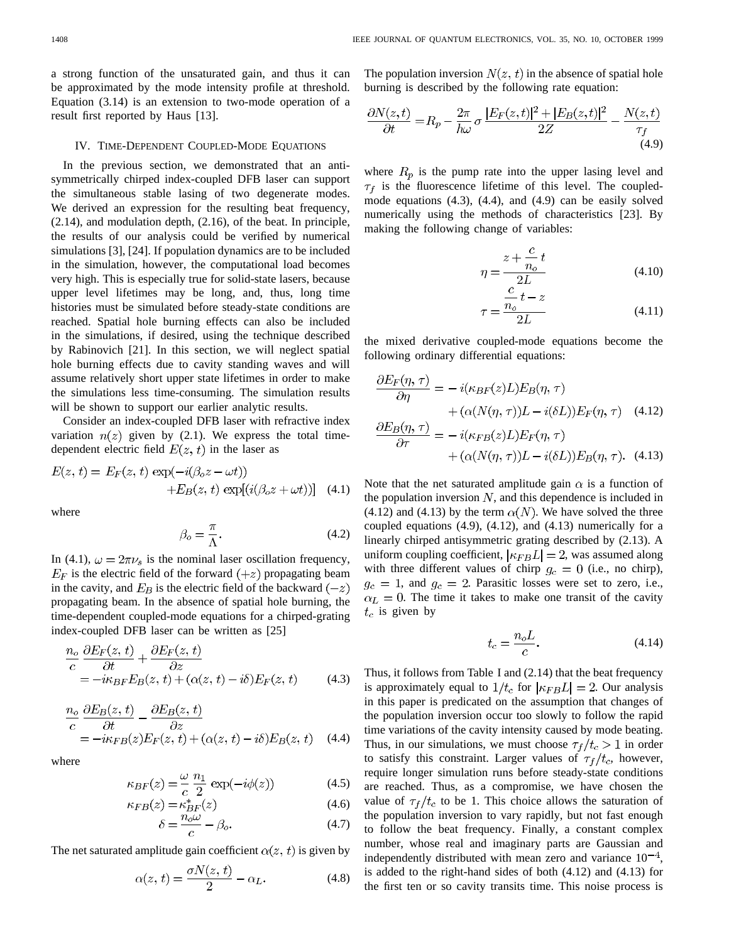a strong function of the unsaturated gain, and thus it can be approximated by the mode intensity profile at threshold. Equation (3.14) is an extension to two-mode operation of a result first reported by Haus [13].

### IV. TIME-DEPENDENT COUPLED-MODE EQUATIONS

In the previous section, we demonstrated that an antisymmetrically chirped index-coupled DFB laser can support the simultaneous stable lasing of two degenerate modes. We derived an expression for the resulting beat frequency, (2.14), and modulation depth, (2.16), of the beat. In principle, the results of our analysis could be verified by numerical simulations [3], [24]. If population dynamics are to be included in the simulation, however, the computational load becomes very high. This is especially true for solid-state lasers, because upper level lifetimes may be long, and, thus, long time histories must be simulated before steady-state conditions are reached. Spatial hole burning effects can also be included in the simulations, if desired, using the technique described by Rabinovich [21]. In this section, we will neglect spatial hole burning effects due to cavity standing waves and will assume relatively short upper state lifetimes in order to make the simulations less time-consuming. The simulation results will be shown to support our earlier analytic results.

Consider an index-coupled DFB laser with refractive index variation  $n(z)$  given by (2.1). We express the total timedependent electric field  $E(z, t)$  in the laser as

$$
E(z, t) = E_F(z, t) \exp(-i(\beta_0 z - \omega t))
$$
  
+
$$
E_B(z, t) \exp[i(\beta_0 z + \omega t)]
$$
 (4.1)

where

$$
\beta_o = \frac{\pi}{\Lambda}.\tag{4.2}
$$

In (4.1),  $\omega = 2\pi \nu_s$  is the nominal laser oscillation frequency,  $E_F$  is the electric field of the forward  $(+z)$  propagating beam in the cavity, and  $E_B$  is the electric field of the backward  $(-z)$ propagating beam. In the absence of spatial hole burning, the time-dependent coupled-mode equations for a chirped-grating index-coupled DFB laser can be written as [25]

$$
\frac{n_o}{c} \frac{\partial E_F(z, t)}{\partial t} + \frac{\partial E_F(z, t)}{\partial z} \n= -i\kappa_{BF} E_B(z, t) + (\alpha(z, t) - i\delta) E_F(z, t)
$$
\n(4.3)

$$
\frac{n_o}{c} \frac{\partial E_B(z, t)}{\partial t} - \frac{\partial E_B(z, t)}{\partial z} \n= -i\kappa_{FB}(z)E_F(z, t) + (\alpha(z, t) - i\delta)E_B(z, t)
$$
\n(4.4)

where

$$
\kappa_{BF}(z) = \frac{\omega}{c} \frac{n_1}{2} \exp(-i\phi(z)) \tag{4.5}
$$

$$
\kappa_{FB}(z) = \kappa_{BF}^*(z) \tag{4.6}
$$

$$
\delta = \frac{n_o \omega}{c} - \beta_o. \tag{4.7}
$$

The net saturated amplitude gain coefficient  $\alpha(z, t)$  is given by

$$
\alpha(z, t) = \frac{\sigma N(z, t)}{2} - \alpha_L. \tag{4.8}
$$

The population inversion  $N(z, t)$  in the absence of spatial hole burning is described by the following rate equation:

$$
\frac{\partial N(z,t)}{\partial t} = R_p - \frac{2\pi}{h\omega} \sigma \frac{|E_F(z,t)|^2 + |E_B(z,t)|^2}{2Z} - \frac{N(z,t)}{\tau_f}
$$
\n(4.9)

where  $R_p$  is the pump rate into the upper lasing level and  $\tau_f$  is the fluorescence lifetime of this level. The coupledmode equations (4.3), (4.4), and (4.9) can be easily solved numerically using the methods of characteristics [23]. By making the following change of variables:

 $\eta$ 

$$
=\frac{z+\frac{c}{n_o}t}{c^2L}
$$
 (4.10)

$$
\tau = \frac{\overline{n}_o t - z}{2L} \tag{4.11}
$$

the mixed derivative coupled-mode equations become the following ordinary differential equations:

$$
\frac{\partial E_F(\eta, \tau)}{\partial \eta} = -i(\kappa_{BF}(z)L)E_B(\eta, \tau) \n+ (\alpha(N(\eta, \tau))L - i(\delta L))E_F(\eta, \tau) \quad (4.12)\n\frac{\partial E_B(\eta, \tau)}{\partial \tau} = -i(\kappa_{FB}(z)L)E_F(\eta, \tau) \n+ (\alpha(N(\eta, \tau))L - i(\delta L))E_B(\eta, \tau). \quad (4.13)
$$

Note that the net saturated amplitude gain  $\alpha$  is a function of the population inversion  $N$ , and this dependence is included in (4.12) and (4.13) by the term  $\alpha(N)$ . We have solved the three coupled equations (4.9), (4.12), and (4.13) numerically for a linearly chirped antisymmetric grating described by (2.13). A uniform coupling coefficient,  $|\kappa_{FB}L| = 2$ , was assumed along with three different values of chirp  $g_c = 0$  (i.e., no chirp),  $g_c = 1$ , and  $g_c = 2$ . Parasitic losses were set to zero, i.e.,  $\alpha_L = 0$ . The time it takes to make one transit of the cavity  $t_c$  is given by

$$
t_c = \frac{n_o L}{c}.\tag{4.14}
$$

Thus, it follows from Table I and (2.14) that the beat frequency is approximately equal to  $1/t_c$  for  $|\kappa_{FB}L| = 2$ . Our analysis in this paper is predicated on the assumption that changes of the population inversion occur too slowly to follow the rapid time variations of the cavity intensity caused by mode beating. Thus, in our simulations, we must choose  $\tau_f/t_c > 1$  in order to satisfy this constraint. Larger values of  $\tau_f/t_c$ , however, require longer simulation runs before steady-state conditions are reached. Thus, as a compromise, we have chosen the value of  $\tau_f/t_c$  to be 1. This choice allows the saturation of the population inversion to vary rapidly, but not fast enough to follow the beat frequency. Finally, a constant complex number, whose real and imaginary parts are Gaussian and independently distributed with mean zero and variance  $10^{-4}$ , is added to the right-hand sides of both (4.12) and (4.13) for the first ten or so cavity transits time. This noise process is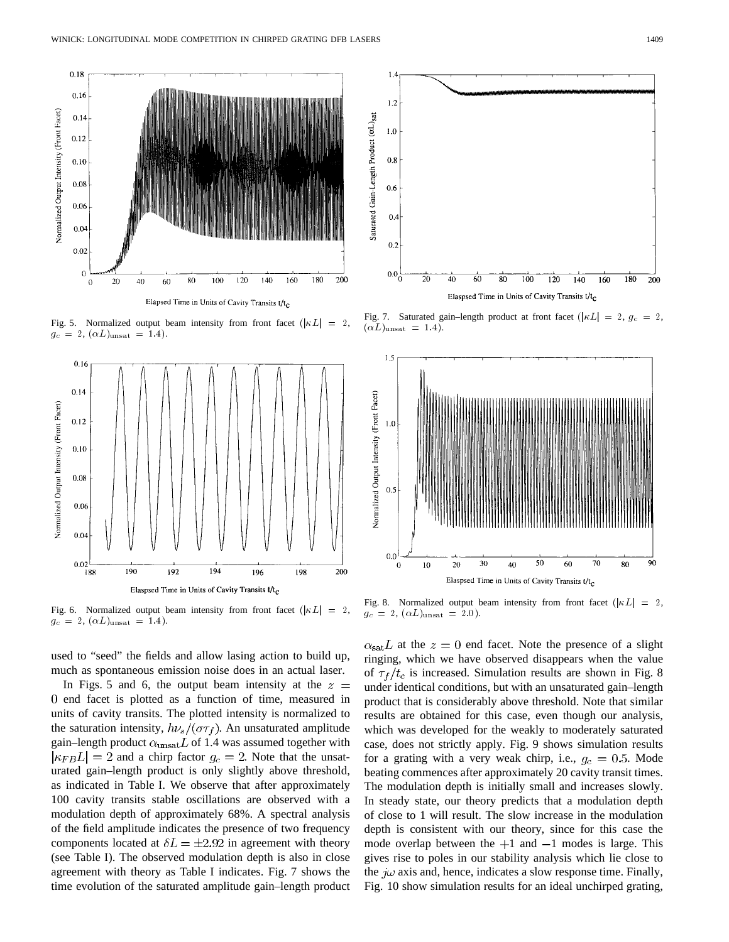

Fig. 5. Normalized output beam intensity from front facet ( $|\kappa L| = 2$ ,  $g_c = 2$ ,  $(\alpha L)_{\text{unsat}} = 1.4$ .



Fig. 6. Normalized output beam intensity from front facet ( $|KL| = 2$ ,  $g_c = 2, (\alpha L)_{\text{unsat}} = 1.4$ .

used to "seed" the fields and allow lasing action to build up, much as spontaneous emission noise does in an actual laser.

In Figs. 5 and 6, the output beam intensity at the  $z =$ 0 end facet is plotted as a function of time, measured in units of cavity transits. The plotted intensity is normalized to the saturation intensity,  $h\nu_s/(\sigma\tau_f)$ . An unsaturated amplitude gain–length product  $\alpha_{\text{unsat}} L$  of 1.4 was assumed together with  $|\kappa_{FB}L| = 2$  and a chirp factor  $g_c = 2$ . Note that the unsaturated gain–length product is only slightly above threshold, as indicated in Table I. We observe that after approximately 100 cavity transits stable oscillations are observed with a modulation depth of approximately 68%. A spectral analysis of the field amplitude indicates the presence of two frequency components located at  $\delta L = \pm 2.92$  in agreement with theory (see Table I). The observed modulation depth is also in close agreement with theory as Table I indicates. Fig. 7 shows the time evolution of the saturated amplitude gain–length product



Fig. 7. Saturated gain–length product at front facet ( $|\kappa L| = 2$ ,  $g_c = 2$ ,  $(\alpha L)_{\text{unsat}} = 1.4$ .



Fig. 8. Normalized output beam intensity from front facet ( $|KL| = 2$ ,  $g_c = 2$ ,  $(\alpha L)_{\text{unsat}} = 2.0$ ).

 $\alpha_{\rm sat} L$  at the  $z = 0$  end facet. Note the presence of a slight ringing, which we have observed disappears when the value of  $\tau_f/t_c$  is increased. Simulation results are shown in Fig. 8 under identical conditions, but with an unsaturated gain–length product that is considerably above threshold. Note that similar results are obtained for this case, even though our analysis, which was developed for the weakly to moderately saturated case, does not strictly apply. Fig. 9 shows simulation results for a grating with a very weak chirp, i.e.,  $g_c = 0.5$ . Mode beating commences after approximately 20 cavity transit times. The modulation depth is initially small and increases slowly. In steady state, our theory predicts that a modulation depth of close to 1 will result. The slow increase in the modulation depth is consistent with our theory, since for this case the mode overlap between the  $+1$  and  $-1$  modes is large. This gives rise to poles in our stability analysis which lie close to the  $i\omega$  axis and, hence, indicates a slow response time. Finally, Fig. 10 show simulation results for an ideal unchirped grating,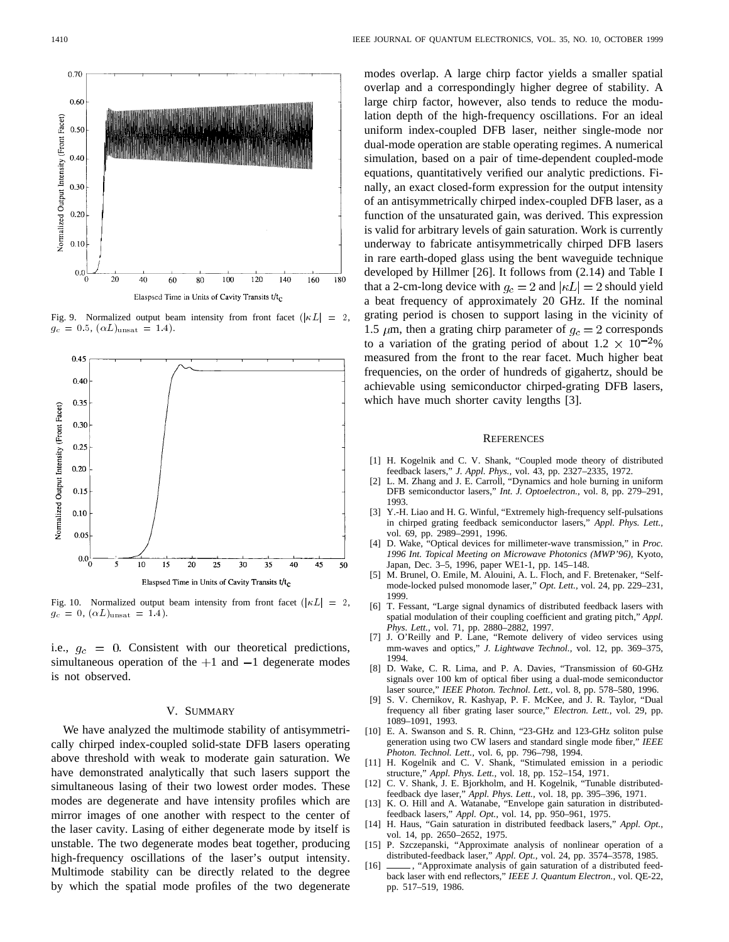

Fig. 9. Normalized output beam intensity from front facet  $(|\kappa L| = 2$ ,  $g_c = 0.5$ ,  $(\alpha L)_{\text{unsat}} = 1.4$ .



Fig. 10. Normalized output beam intensity from front facet ( $|KL| = 2$ ,  $g_c = 0$ ,  $(\alpha L)_{\text{unsat}} = 1.4$ .

i.e.,  $g_c = 0$ . Consistent with our theoretical predictions, simultaneous operation of the  $+1$  and  $-1$  degenerate modes is not observed.

#### V. SUMMARY

We have analyzed the multimode stability of antisymmetrically chirped index-coupled solid-state DFB lasers operating above threshold with weak to moderate gain saturation. We have demonstrated analytically that such lasers support the simultaneous lasing of their two lowest order modes. These modes are degenerate and have intensity profiles which are mirror images of one another with respect to the center of the laser cavity. Lasing of either degenerate mode by itself is unstable. The two degenerate modes beat together, producing high-frequency oscillations of the laser's output intensity. Multimode stability can be directly related to the degree by which the spatial mode profiles of the two degenerate

modes overlap. A large chirp factor yields a smaller spatial overlap and a correspondingly higher degree of stability. A large chirp factor, however, also tends to reduce the modulation depth of the high-frequency oscillations. For an ideal uniform index-coupled DFB laser, neither single-mode nor dual-mode operation are stable operating regimes. A numerical simulation, based on a pair of time-dependent coupled-mode equations, quantitatively verified our analytic predictions. Finally, an exact closed-form expression for the output intensity of an antisymmetrically chirped index-coupled DFB laser, as a function of the unsaturated gain, was derived. This expression is valid for arbitrary levels of gain saturation. Work is currently underway to fabricate antisymmetrically chirped DFB lasers in rare earth-doped glass using the bent waveguide technique developed by Hillmer [26]. It follows from (2.14) and Table I that a 2-cm-long device with  $g_c = 2$  and  $|\kappa L| = 2$  should yield a beat frequency of approximately 20 GHz. If the nominal grating period is chosen to support lasing in the vicinity of 1.5  $\mu$ m, then a grating chirp parameter of  $g_c = 2$  corresponds to a variation of the grating period of about  $1.2 \times 10^{-2}$ % measured from the front to the rear facet. Much higher beat frequencies, on the order of hundreds of gigahertz, should be achievable using semiconductor chirped-grating DFB lasers, which have much shorter cavity lengths [3].

#### **REFERENCES**

- [1] H. Kogelnik and C. V. Shank, "Coupled mode theory of distributed feedback lasers," *J. Appl. Phys.,* vol. 43, pp. 2327–2335, 1972.
- [2] L. M. Zhang and J. E. Carroll, "Dynamics and hole burning in uniform DFB semiconductor lasers," *Int. J. Optoelectron.,* vol. 8, pp. 279–291, 1993.
- [3] Y.-H. Liao and H. G. Winful, "Extremely high-frequency self-pulsations in chirped grating feedback semiconductor lasers," *Appl. Phys. Lett.,* vol. 69, pp. 2989–2991, 1996.
- [4] D. Wake, "Optical devices for millimeter-wave transmission," in *Proc. 1996 Int. Topical Meeting on Microwave Photonics (MWP'96),* Kyoto, Japan, Dec. 3–5, 1996, paper WE1-1, pp. 145–148.
- [5] M. Brunel, O. Emile, M. Alouini, A. L. Floch, and F. Bretenaker, "Selfmode-locked pulsed monomode laser," *Opt. Lett.,* vol. 24, pp. 229–231, 1999.
- [6] T. Fessant, "Large signal dynamics of distributed feedback lasers with spatial modulation of their coupling coefficient and grating pitch," *Appl. Phys. Lett.,* vol. 71, pp. 2880–2882, 1997.
- [7] J. O'Reilly and P. Lane, "Remote delivery of video services using mm-waves and optics," *J. Lightwave Technol.,* vol. 12, pp. 369–375, 1994.
- [8] D. Wake, C. R. Lima, and P. A. Davies, "Transmission of 60-GHz signals over 100 km of optical fiber using a dual-mode semiconductor laser source," *IEEE Photon. Technol. Lett.,* vol. 8, pp. 578–580, 1996.
- [9] S. V. Chernikov, R. Kashyap, P. F. McKee, and J. R. Taylor, "Dual frequency all fiber grating laser source," *Electron. Lett.,* vol. 29, pp. 1089–1091, 1993.
- [10] E. A. Swanson and S. R. Chinn, "23-GHz and 123-GHz soliton pulse generation using two CW lasers and standard single mode fiber," *IEEE Photon. Technol. Lett.,* vol. 6, pp. 796–798, 1994.
- [11] H. Kogelnik and C. V. Shank, "Stimulated emission in a periodic structure," *Appl. Phys. Lett.,* vol. 18, pp. 152–154, 1971.
- [12] C. V. Shank, J. E. Bjorkholm, and H. Kogelnik, "Tunable distributedfeedback dye laser," *Appl. Phys. Lett.,* vol. 18, pp. 395–396, 1971.
- K. O. Hill and A. Watanabe, "Envelope gain saturation in distributedfeedback lasers," *Appl. Opt.,* vol. 14, pp. 950–961, 1975.
- [14] H. Haus, "Gain saturation in distributed feedback lasers," *Appl. Opt.,* vol. 14, pp. 2650–2652, 1975.
- [15] P. Szczepanski, "Approximate analysis of nonlinear operation of a distributed-feedback laser," *Appl. Opt.,* vol. 24, pp. 3574–3578, 1985.
- [16]  $\_\_\_\$ , "Approximate analysis of gain saturation of a distributed feedback laser with end reflectors," *IEEE J. Quantum Electron.,* vol. QE-22, pp. 517–519, 1986.